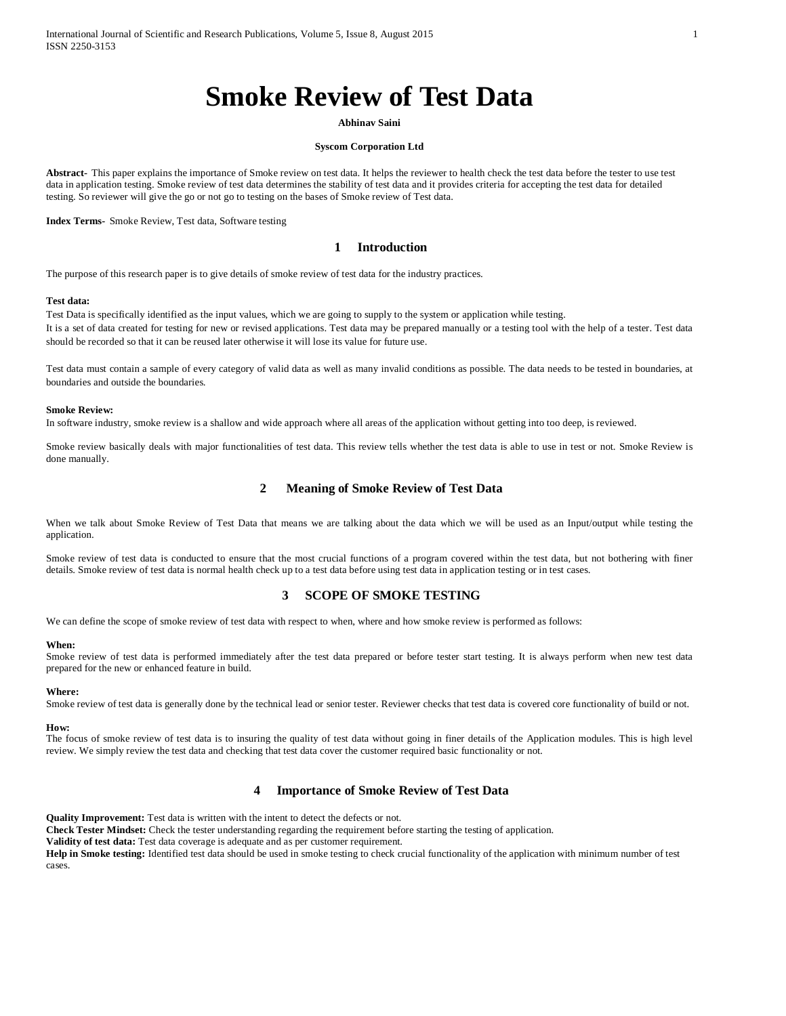# **Smoke Review of Test Data**

#### **Abhinav Saini**

#### **Syscom Corporation Ltd**

**Abstract-** This paper explains the importance of Smoke review on test data. It helps the reviewer to health check the test data before the tester to use test data in application testing. Smoke review of test data determines the stability of test data and it provides criteria for accepting the test data for detailed testing. So reviewer will give the go or not go to testing on the bases of Smoke review of Test data.

**Index Terms-** Smoke Review, Test data, Software testing

### **1 Introduction**

The purpose of this research paper is to give details of smoke review of test data for the industry practices.

#### **Test data:**

Test Data is specifically identified as the input values, which we are going to supply to the system or application while testing. It is a set of data created for testing for new or revised applications. Test data may be prepared manually or a testing tool with the help of a tester. Test data should be recorded so that it can be reused later otherwise it will lose its value for future use.

Test data must contain a sample of every category of valid data as well as many invalid conditions as possible. The data needs to be tested in boundaries, at boundaries and outside the boundaries.

#### **Smoke Review:**

In software industry, smoke review is a shallow and wide approach where all areas of the application without getting into too deep, is reviewed.

Smoke review basically deals with major functionalities of test data. This review tells whether the test data is able to use in test or not. Smoke Review is done manually.

#### **2 Meaning of Smoke Review of Test Data**

When we talk about Smoke Review of Test Data that means we are talking about the data which we will be used as an Input/output while testing the application.

Smoke review of test data is conducted to ensure that the most crucial functions of a program covered within the test data, but not bothering with finer details. Smoke review of test data is normal health check up to a test data before using test data in application testing or in test cases.

# **3 SCOPE OF SMOKE TESTING**

We can define the scope of smoke review of test data with respect to when, where and how smoke review is performed as follows:

#### **When:**

Smoke review of test data is performed immediately after the test data prepared or before tester start testing. It is always perform when new test data prepared for the new or enhanced feature in build.

#### **Where:**

Smoke review of test data is generally done by the technical lead or senior tester. Reviewer checks that test data is covered core functionality of build or not.

#### **How:**

The focus of smoke review of test data is to insuring the quality of test data without going in finer details of the Application modules. This is high level review. We simply review the test data and checking that test data cover the customer required basic functionality or not.

### **4 Importance of Smoke Review of Test Data**

**Quality Improvement:** Test data is written with the intent to detect the defects or not.

**Check Tester Mindset:** Check the tester understanding regarding the requirement before starting the testing of application.

**Validity of test data:** Test data coverage is adequate and as per customer requirement.

**Help in Smoke testing:** Identified test data should be used in smoke testing to check crucial functionality of the application with minimum number of test cases.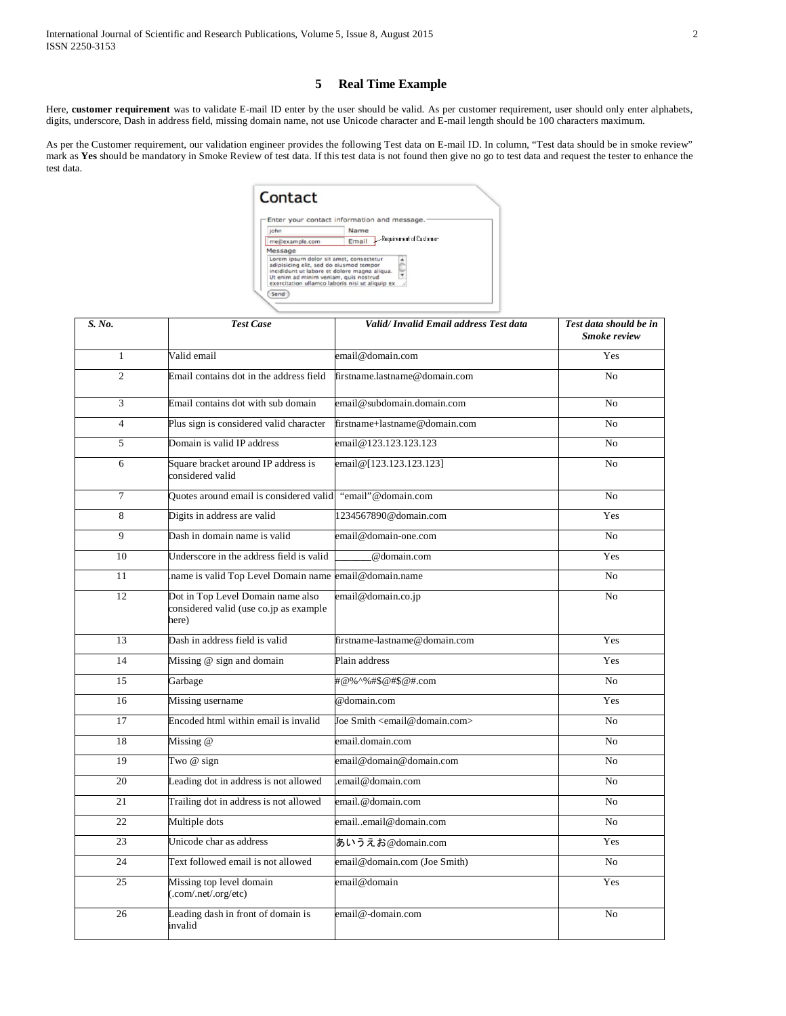# **5 Real Time Example**

Here, **customer requirement** was to validate E-mail ID enter by the user should be valid. As per customer requirement, user should only enter alphabets, digits, underscore, Dash in address field, missing domain name, not use Unicode character and E-mail length should be 100 characters maximum.

As per the Customer requirement, our validation engineer provides the following Test data on E-mail ID. In column, "Test data should be in smoke review" mark as **Yes** should be mandatory in Smoke Review of test data. If this test data is not found then give no go to test data and request the tester to enhance the test data.

|                                                                                                                                                                             | Enter your contact information and message.     |  |
|-----------------------------------------------------------------------------------------------------------------------------------------------------------------------------|-------------------------------------------------|--|
| john                                                                                                                                                                        | Name                                            |  |
| me@example.com                                                                                                                                                              | Requirement of Customer<br>Email                |  |
| Message                                                                                                                                                                     |                                                 |  |
| Lorem ipsum dolor sit amet, consectetur<br>adipisicing elit, sed do eiusmod tempor<br>incididunt ut labore et dolore magna aliqua.<br>Ut enim ad minim veniam, quis nostrud | exercitation ullamco laboris nisi ut aliquip ex |  |

| S. No.         | <b>Test Case</b>                                                                     | Valid/Invalid Email address Test data           | Test data should be in<br><b>Smoke review</b> |
|----------------|--------------------------------------------------------------------------------------|-------------------------------------------------|-----------------------------------------------|
| $\mathbf{1}$   | Valid email                                                                          | email@domain.com                                | Yes                                           |
| $\overline{2}$ | Email contains dot in the address field                                              | firstname.lastname@domain.com                   | N <sub>o</sub>                                |
| 3              | Email contains dot with sub domain                                                   | email@subdomain.domain.com                      | N <sub>o</sub>                                |
| $\overline{4}$ | Plus sign is considered valid character                                              | firstname+lastname@domain.com                   | N <sub>0</sub>                                |
| 5              | Domain is valid IP address                                                           | email@123.123.123.123                           | N <sub>0</sub>                                |
| 6              | Square bracket around IP address is<br>considered valid                              | email@[123.123.123.123]                         | N <sub>0</sub>                                |
| $\overline{7}$ | Quotes around email is considered valid                                              | "email"@domain.com                              | N <sub>o</sub>                                |
| 8              | Digits in address are valid                                                          | 1234567890@domain.com                           | Yes                                           |
| 9              | Dash in domain name is valid                                                         | email@domain-one.com                            | No                                            |
| 10             | Underscore in the address field is valid                                             | @domain.com                                     | Yes                                           |
| 11             | name is valid Top Level Domain name email@domain.name.                               |                                                 | N <sub>0</sub>                                |
| 12             | Dot in Top Level Domain name also<br>considered valid (use co.jp as example<br>here) | email@domain.co.jp                              | No                                            |
| 13             | Dash in address field is valid                                                       | firstname-lastname@domain.com                   | Yes                                           |
| 14             | Missing @ sign and domain                                                            | Plain address                                   | Yes                                           |
| 15             | Garbage                                                                              | #@%^%#\$@#\$@#.com                              | No                                            |
| 16             | Missing username                                                                     | @domain.com                                     | Yes                                           |
| 17             | Encoded html within email is invalid                                                 | Joe Smith <email@domain.com></email@domain.com> | N <sub>0</sub>                                |
| 18             | Missing @                                                                            | email.domain.com                                | N <sub>0</sub>                                |
| 19             | Two $@$ sign                                                                         | email@domain@domain.com                         | N <sub>o</sub>                                |
| 20             | Leading dot in address is not allowed                                                | email@domain.com                                | No                                            |
| 21             | Trailing dot in address is not allowed                                               | email.@domain.com                               | N <sub>o</sub>                                |
| 22             | Multiple dots                                                                        | emailemail@domain.com                           | N <sub>0</sub>                                |
| 23             | Unicode char as address                                                              | あいうえお@domain.com                                | Yes                                           |
| 24             | Text followed email is not allowed                                                   | email@domain.com (Joe Smith)                    | N <sub>o</sub>                                |
| 25             | Missing top level domain<br>(com/net'.org/etc)                                       | email@domain                                    | Yes                                           |
| 26             | Leading dash in front of domain is<br>invalid                                        | email@-domain.com                               | N <sub>0</sub>                                |